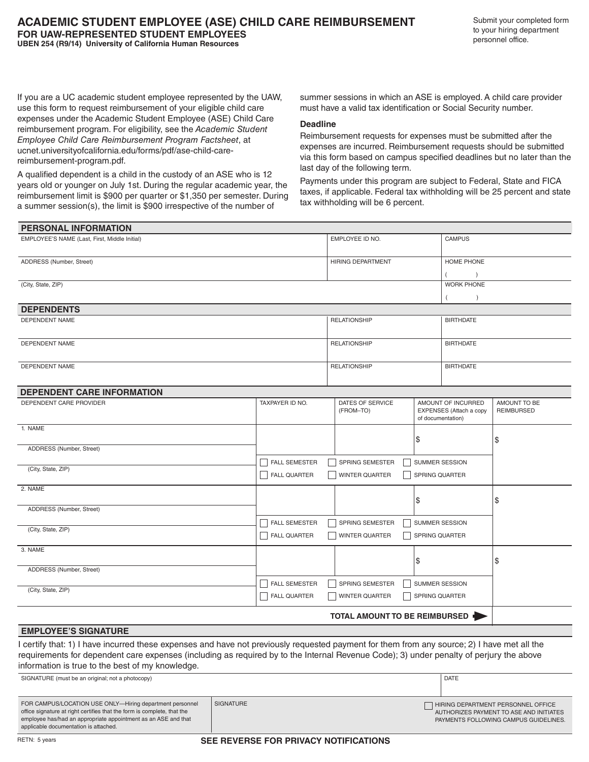Submit your completed form to your hiring department personnel office.

If you are a UC academic student employee represented by the UAW, use this form to request reimbursement of your eligible child care expenses under the Academic Student Employee (ASE) Child Care reimbursement program. For eligibility, see the *Academic Student Employee Child Care Reimbursement Program Factsheet*, at ucnet.universityofcalifornia.edu/forms/pdf/ase-child-carereimbursement-program.pdf.

A qualified dependent is a child in the custody of an ASE who is 12 years old or younger on July 1st. During the regular academic year, the reimbursement limit is \$900 per quarter or \$1,350 per semester. During a summer session(s), the limit is \$900 irrespective of the number of

summer sessions in which an ASE is employed. A child care provider must have a valid tax identification or Social Security number.

## **Deadline**

Reimbursement requests for expenses must be submitted after the expenses are incurred. Reimbursement requests should be submitted via this form based on campus specified deadlines but no later than the last day of the following term.

Payments under this program are subject to Federal, State and FICA taxes, if applicable. Federal tax withholding will be 25 percent and state tax withholding will be 6 percent.

| PERSONAL INFORMATION                                                                                                                        |                      |                                   |                         |                                                                               |  |
|---------------------------------------------------------------------------------------------------------------------------------------------|----------------------|-----------------------------------|-------------------------|-------------------------------------------------------------------------------|--|
| EMPLOYEE'S NAME (Last, First, Middle Initial)                                                                                               |                      | EMPLOYEE ID NO.                   | <b>CAMPUS</b>           |                                                                               |  |
| ADDRESS (Number, Street)<br>(City, State, ZIP)                                                                                              |                      | HIRING DEPARTMENT                 | <b>HOME PHONE</b>       |                                                                               |  |
|                                                                                                                                             |                      |                                   |                         |                                                                               |  |
|                                                                                                                                             |                      |                                   | <b>WORK PHONE</b>       |                                                                               |  |
|                                                                                                                                             |                      |                                   |                         |                                                                               |  |
| <b>DEPENDENTS</b>                                                                                                                           |                      |                                   |                         |                                                                               |  |
| <b>DEPENDENT NAME</b>                                                                                                                       |                      | <b>RELATIONSHIP</b>               | <b>BIRTHDATE</b>        |                                                                               |  |
|                                                                                                                                             |                      |                                   |                         |                                                                               |  |
| <b>DEPENDENT NAME</b>                                                                                                                       |                      | <b>RELATIONSHIP</b>               | <b>BIRTHDATE</b>        |                                                                               |  |
|                                                                                                                                             |                      |                                   |                         |                                                                               |  |
| <b>DEPENDENT NAME</b>                                                                                                                       |                      | <b>RELATIONSHIP</b>               | <b>BIRTHDATE</b>        |                                                                               |  |
|                                                                                                                                             |                      |                                   |                         |                                                                               |  |
| DEPENDENT CARE INFORMATION                                                                                                                  |                      |                                   |                         |                                                                               |  |
| DEPENDENT CARE PROVIDER                                                                                                                     | TAXPAYER ID NO.      | DATES OF SERVICE                  | AMOUNT OF INCURRED      | AMOUNT TO BE                                                                  |  |
|                                                                                                                                             |                      | (FROM-TO)                         | EXPENSES (Attach a copy | <b>REIMBURSED</b>                                                             |  |
| 1. NAME                                                                                                                                     |                      |                                   | of documentation)       |                                                                               |  |
|                                                                                                                                             |                      |                                   | \$                      | \$                                                                            |  |
| ADDRESS (Number, Street)                                                                                                                    |                      |                                   |                         |                                                                               |  |
|                                                                                                                                             | <b>FALL SEMESTER</b> | SPRING SEMESTER                   | SUMMER SESSION          |                                                                               |  |
| (City, State, ZIP)                                                                                                                          | <b>FALL QUARTER</b>  | WINTER QUARTER                    | SPRING QUARTER          |                                                                               |  |
|                                                                                                                                             |                      |                                   |                         |                                                                               |  |
| 2. NAME                                                                                                                                     |                      |                                   |                         |                                                                               |  |
| ADDRESS (Number, Street)                                                                                                                    |                      |                                   | \$                      | \$                                                                            |  |
|                                                                                                                                             |                      |                                   |                         |                                                                               |  |
| (City, State, ZIP)                                                                                                                          | <b>FALL SEMESTER</b> | SUMMER SESSION<br>SPRING SEMESTER |                         |                                                                               |  |
|                                                                                                                                             | <b>FALL QUARTER</b>  | <b>WINTER QUARTER</b>             | SPRING QUARTER          |                                                                               |  |
| 3. NAME                                                                                                                                     |                      |                                   |                         |                                                                               |  |
|                                                                                                                                             |                      |                                   | \$                      | \$                                                                            |  |
| ADDRESS (Number, Street)                                                                                                                    |                      |                                   |                         |                                                                               |  |
| (City, State, ZIP)                                                                                                                          | <b>FALL SEMESTER</b> | SPRING SEMESTER                   | SUMMER SESSION          |                                                                               |  |
|                                                                                                                                             | <b>FALL QUARTER</b>  | <b>WINTER QUARTER</b>             | SPRING QUARTER          |                                                                               |  |
|                                                                                                                                             |                      | TOTAL AMOUNT TO BE REIMBURSED     |                         |                                                                               |  |
| <b>EMPLOYEE'S SIGNATURE</b>                                                                                                                 |                      |                                   |                         |                                                                               |  |
| I certify that: 1) I have incurred these expenses and have not previously requested payment for them from any source; 2) I have met all the |                      |                                   |                         |                                                                               |  |
| requirements for dependent care expenses (including as required by to the Internal Revenue Code); 3) under penalty of perjury the above     |                      |                                   |                         |                                                                               |  |
| information is true to the best of my knowledge.                                                                                            |                      |                                   |                         |                                                                               |  |
| SIGNATURE (must be an original; not a photocopy)                                                                                            |                      |                                   | <b>DATE</b>             |                                                                               |  |
|                                                                                                                                             |                      |                                   |                         |                                                                               |  |
| FOR CAMPUS/LOCATION USE ONLY-Hiring department personnel<br>SIGNATURE                                                                       |                      |                                   |                         |                                                                               |  |
| office signature at right certifies that the form is complete, that the                                                                     |                      |                                   |                         | HIRING DEPARTMENT PERSONNEL OFFICE<br>AUTHORIZES PAYMENT TO ASE AND INITIATES |  |
| employee has/had an appropriate appointment as an ASE and that<br>applicable documentation is attached.                                     |                      |                                   |                         | PAYMENTS FOLLOWING CAMPUS GUIDELINES.                                         |  |